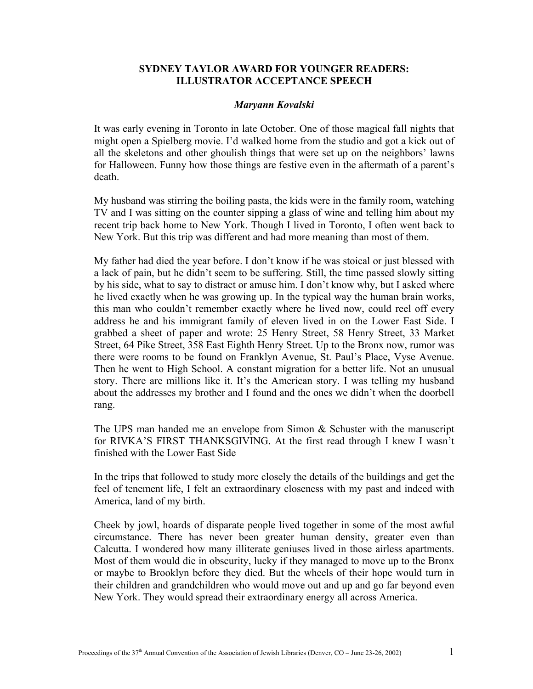## **SYDNEY TAYLOR AWARD FOR YOUNGER READERS: ILLUSTRATOR ACCEPTANCE SPEECH**

## *Maryann Kovalski*

It was early evening in Toronto in late October. One of those magical fall nights that might open a Spielberg movie. I'd walked home from the studio and got a kick out of all the skeletons and other ghoulish things that were set up on the neighbors' lawns for Halloween. Funny how those things are festive even in the aftermath of a parent's death.

My husband was stirring the boiling pasta, the kids were in the family room, watching TV and I was sitting on the counter sipping a glass of wine and telling him about my recent trip back home to New York. Though I lived in Toronto, I often went back to New York. But this trip was different and had more meaning than most of them.

My father had died the year before. I don't know if he was stoical or just blessed with a lack of pain, but he didn't seem to be suffering. Still, the time passed slowly sitting by his side, what to say to distract or amuse him. I don't know why, but I asked where he lived exactly when he was growing up. In the typical way the human brain works, this man who couldn't remember exactly where he lived now, could reel off every address he and his immigrant family of eleven lived in on the Lower East Side. I grabbed a sheet of paper and wrote: 25 Henry Street, 58 Henry Street, 33 Market Street, 64 Pike Street, 358 East Eighth Henry Street. Up to the Bronx now, rumor was there were rooms to be found on Franklyn Avenue, St. Paul's Place, Vyse Avenue. Then he went to High School. A constant migration for a better life. Not an unusual story. There are millions like it. It's the American story. I was telling my husband about the addresses my brother and I found and the ones we didn't when the doorbell rang.

The UPS man handed me an envelope from Simon & Schuster with the manuscript for RIVKA'S FIRST THANKSGIVING. At the first read through I knew I wasn't finished with the Lower East Side

In the trips that followed to study more closely the details of the buildings and get the feel of tenement life, I felt an extraordinary closeness with my past and indeed with America, land of my birth.

Cheek by jowl, hoards of disparate people lived together in some of the most awful circumstance. There has never been greater human density, greater even than Calcutta. I wondered how many illiterate geniuses lived in those airless apartments. Most of them would die in obscurity, lucky if they managed to move up to the Bronx or maybe to Brooklyn before they died. But the wheels of their hope would turn in their children and grandchildren who would move out and up and go far beyond even New York. They would spread their extraordinary energy all across America.